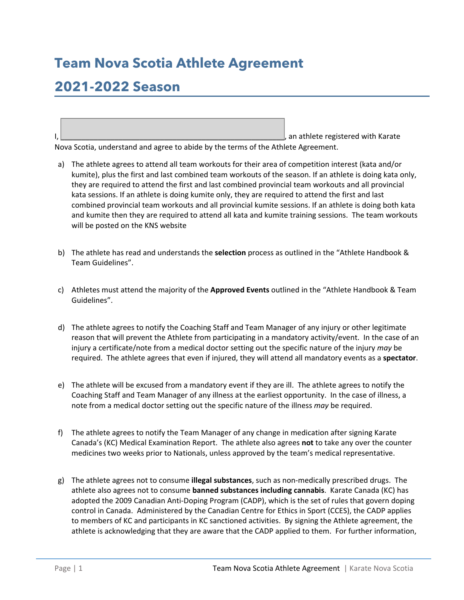## **Team Nova Scotia Athlete Agreement**

## **2021-2022 Season**

I, \_\_\_\_\_\_\_\_\_\_\_\_\_\_\_\_\_\_\_\_\_\_\_\_\_\_\_\_\_\_\_\_\_\_\_\_\_\_\_\_\_\_\_\_\_\_\_\_\_\_\_\_\_\_, an athlete registered with Karate Nova Scotia, understand and agree to abide by the terms of the Athlete Agreement.

- a) The athlete agrees to attend all team workouts for their area of competition interest (kata and/or kumite), plus the first and last combined team workouts of the season. If an athlete is doing kata only, they are required to attend the first and last combined provincial team workouts and all provincial kata sessions. If an athlete is doing kumite only, they are required to attend the first and last combined provincial team workouts and all provincial kumite sessions. If an athlete is doing both kata and kumite then they are required to attend all kata and kumite training sessions. The team workouts will be posted on the KNS website
- b) The athlete has read and understands the **selection** process as outlined in the "Athlete Handbook & Team Guidelines".
- c) Athletes must attend the majority of the **Approved Events** outlined in the "Athlete Handbook & Team Guidelines".
- d) The athlete agrees to notify the Coaching Staff and Team Manager of any injury or other legitimate reason that will prevent the Athlete from participating in a mandatory activity/event. In the case of an injury a certificate/note from a medical doctor setting out the specific nature of the injury *may* be required. The athlete agrees that even if injured, they will attend all mandatory events as a **spectator**.
- e) The athlete will be excused from a mandatory event if they are ill. The athlete agrees to notify the Coaching Staff and Team Manager of any illness at the earliest opportunity. In the case of illness, a note from a medical doctor setting out the specific nature of the illness *may* be required.
- f) The athlete agrees to notify the Team Manager of any change in medication after signing Karate Canada's (KC) Medical Examination Report. The athlete also agrees **not** to take any over the counter medicines two weeks prior to Nationals, unless approved by the team's medical representative.
- g) The athlete agrees not to consume **illegal substances**, such as non-medically prescribed drugs. The athlete also agrees not to consume **banned substances including cannabis**. Karate Canada (KC) has adopted the 2009 Canadian Anti-Doping Program (CADP), which is the set of rules that govern doping control in Canada. Administered by the Canadian Centre for Ethics in Sport (CCES), the CADP applies to members of KC and participants in KC sanctioned activities. By signing the Athlete agreement, the athlete is acknowledging that they are aware that the CADP applied to them. For further information,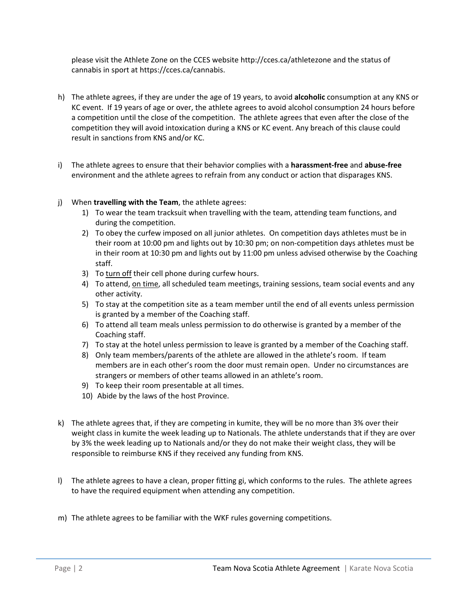please visit the Athlete Zone on the CCES website http://cces.ca/athletezone and the status of cannabis in sport at https://cces.ca/cannabis.

- h) The athlete agrees, if they are under the age of 19 years, to avoid **alcoholic** consumption at any KNS or KC event. If 19 years of age or over, the athlete agrees to avoid alcohol consumption 24 hours before a competition until the close of the competition. The athlete agrees that even after the close of the competition they will avoid intoxication during a KNS or KC event. Any breach of this clause could result in sanctions from KNS and/or KC.
- i) The athlete agrees to ensure that their behavior complies with a **harassment-free** and **abuse-free** environment and the athlete agrees to refrain from any conduct or action that disparages KNS.
- j) When **travelling with the Team**, the athlete agrees:
	- 1) To wear the team tracksuit when travelling with the team, attending team functions, and during the competition.
	- 2) To obey the curfew imposed on all junior athletes. On competition days athletes must be in their room at 10:00 pm and lights out by 10:30 pm; on non-competition days athletes must be in their room at 10:30 pm and lights out by 11:00 pm unless advised otherwise by the Coaching staff.
	- 3) To turn off their cell phone during curfew hours.
	- 4) To attend, on time, all scheduled team meetings, training sessions, team social events and any other activity.
	- 5) To stay at the competition site as a team member until the end of all events unless permission is granted by a member of the Coaching staff.
	- 6) To attend all team meals unless permission to do otherwise is granted by a member of the Coaching staff.
	- 7) To stay at the hotel unless permission to leave is granted by a member of the Coaching staff.
	- 8) Only team members/parents of the athlete are allowed in the athlete's room. If team members are in each other's room the door must remain open. Under no circumstances are strangers or members of other teams allowed in an athlete's room.
	- 9) To keep their room presentable at all times.
	- 10) Abide by the laws of the host Province.
- k) The athlete agrees that, if they are competing in kumite, they will be no more than 3% over their weight class in kumite the week leading up to Nationals. The athlete understands that if they are over by 3% the week leading up to Nationals and/or they do not make their weight class, they will be responsible to reimburse KNS if they received any funding from KNS.
- l) The athlete agrees to have a clean, proper fitting gi, which conforms to the rules. The athlete agrees to have the required equipment when attending any competition.
- m) The athlete agrees to be familiar with the WKF rules governing competitions.